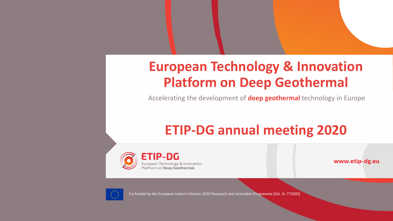# **European Technology & Innovation Platform on Deep Geothermal**

Accelerating the development of **deep geothermal** technology in Europe

# **ETIP-DG annual meeting 2020**

**ETIP-DG** European Technology & Innovation Platform on Deep Geothermal

www.etip-dg.eu



Co-funded by the European Union's Horizon 2020 Research and Innovation Programme [GA. N. 773392]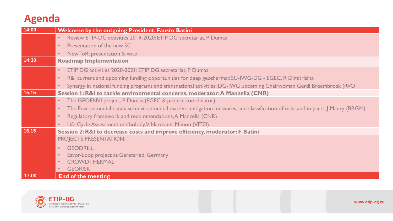### **Agenda**

| 14:00 | <b>Welcome by the outgoing President: Fausto Batini</b>                                                                         |
|-------|---------------------------------------------------------------------------------------------------------------------------------|
|       | Review ETIP-DG activities 2019-2020: ETIP DG secretariat, P Dumas                                                               |
|       | Presentation of the new SC                                                                                                      |
|       | New ToR: presentation & vote                                                                                                    |
| 14:30 | <b>Roadmap Implementation</b>                                                                                                   |
|       | ETIP DG activities 2020-2021: ETIP DG secretariat, P Dumas                                                                      |
|       | R&I current and upcoming funding opportunities for deep geothermal: SU-IWG-DG - EGEC, R Dimitrisina                             |
|       | Synergy in national funding programs and transnational activities: DG-IWG upcoming Chairwoman Gerdi Breembroek (RVO             |
| 15.15 | Session I: R&I to tackle environmental concerns, moderator: A Manzella (CNR)                                                    |
|       | The GEOENVI project, P Dumas (EGEC & project coordinator)                                                                       |
|       | The Environmental database: environmental matters, mitigation measures, and classification of risks and impacts, J Maury (BRGM) |
|       | Regulatory framework and recommendations, A Manzella (CNR)                                                                      |
|       | Life Cycle Assessment metholody, V Harcouet-Menou (VITO)                                                                        |
| 16.15 | Session 2: R&I to decrease costs and improve efficiency, moderator: F Batini                                                    |
|       | <b>PROJECTS PRESENTATION:</b>                                                                                                   |
|       | <b>GEODRILL</b><br>$\bullet$                                                                                                    |
|       | Eavor-Loop project at Geretsried, Germany                                                                                       |
|       | <b>CROWDTHERMAL</b>                                                                                                             |
|       | <b>GEORISK</b>                                                                                                                  |
| 17.00 | <b>End of the meeting</b>                                                                                                       |

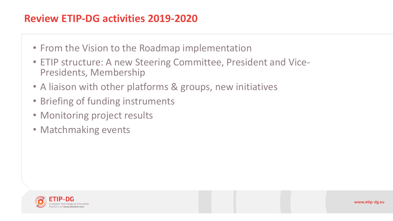### **Review ETIP-DG activities 2019-2020**

- From the Vision to the Roadmap implementation
- ETIP structure: A new Steering Committee, President and Vice-Presidents, Membership
- A liaison with other platforms & groups, new initiatives
- Briefing of funding instruments
- Monitoring project results
- Matchmaking events

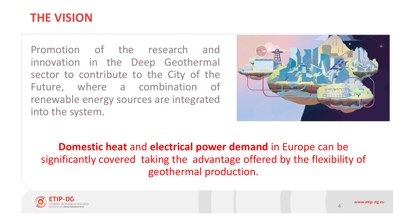## **THE VISION**

Promotion of the research and innovation in the Deep Geothermal sector to contribute to the City of the Future, where a combination of renewable energy sources are integrated into the system.



**Domestic heat** and **electrical power demand** in Europe can be significantly covered taking the advantage offered by the flexibility of geothermal production.



4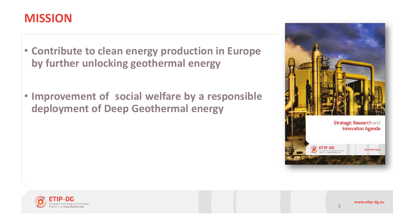## **MISSION**

- **Contribute to clean energy production in Europe by further unlocking geothermal energy**
- **Improvement of social welfare by a responsible deployment of Deep Geothermal energy**



5

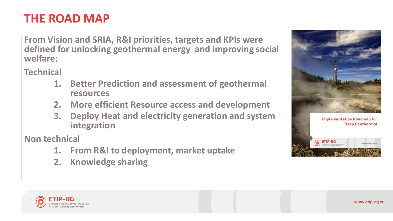## **THE ROAD MAP**

**From Vision and SRIA, R&I priorities, targets and KPIs were defined for unlocking geothermal energy and improving social welfare:**

**Technical** 

- **1. Better Prediction and assessment of geothermal resources**
- **2. More efficient Resource access and development**
- **3. Deploy Heat and electricity generation and system integration**

**Non technical**

- **1. From R&I to deployment, market uptake**
- **2. Knowledge sharing**



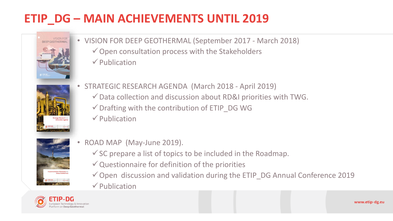## **ETIP\_DG – MAIN ACHIEVEMENTS UNTIL 2019**



• VISION FOR DEEP GEOTHERMAL (September 2017 - March 2018)  $\checkmark$  Open consultation process with the Stakeholders ✓Publication



- STRATEGIC RESEARCH AGENDA (March 2018 April 2019)
	- $\checkmark$  Data collection and discussion about RD&I priorities with TWG.
	- $\checkmark$  Drafting with the contribution of ETIP\_DG WG
	- ✓Publication



- ROAD MAP (May-June 2019).
	- $\checkmark$  SC prepare a list of topics to be included in the Roadmap.
	- $\checkmark$  Questionnaire for definition of the priorities
	- ✓Open discussion and validation during the ETIP\_DG Annual Conference 2019 ✓Publication

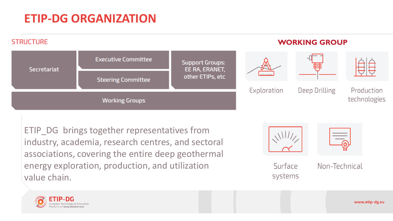## **ETIP-DG ORGANIZATION**



ETIP DG brings together representatives from industry, academia, research centres, and sectoral associations, covering the entire deep geothermal energy exploration, production, and utilization value chain.



Surface systems

Non-Technical

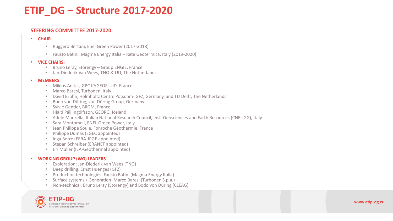#### **ETIP\_DG – Structure 2017-2020**

#### **STEERING COMMITTEE 2017-2020**

#### • **CHAIR**

- Ruggero Bertani, Enel Green Power (2017-2018)
- Fausto Batini, Magma Energy Italia Rete Geotermica, Italy (2019-2020)

#### • **VICE CHAIRS:**

- Bruno Leray, Storengy Group ENGIE, France
- Jan-Diederik Van Wees, TNO & UU, The Netherlands

#### • **MEMBERS**

- Miklos Antics, GPC IP/GEOFLUID, France
- Marco Baresi, Turboden, Italy
- David Bruhn, Helmholtz Centre Potsdam- GFZ, Germany, and TU Delft, The Netherlands
- Bodo von Düring, von Düring Group, Germany
- Sylvie Gentier, BRGM, France
- Hjalti Páll Ingólfsson, GEORG, Iceland
- Adele Manzella, Italian National Research Council, Inst. Geosciences and Earth Resources (CNR-IGG), Italy
- Sara Montomoli, ENEL Green Power, Italy
- Jean Philippe Soulé, Fonroche Géothermie, France
- Philippe Dumas (EGEC appointed)
- Inga Berre (EERA-JPGE appointed)
- Stepan Schreiber (ERANET appointed)
- Jiri Muller (IEA-Geothermal appointed)

#### • **WORKING GROUP (WG) LEADERS**

- Exploration: Jan-Diederik Van Wees (TNO)
- Deep drilling: Ernst Huenges (GFZ)
- Production technologies: Fausto Batini (Magma Energy Italia)
- Surface systems / Generation: Marco Baresi (Turboden S.p.a.)
- Non-technical: Bruno Leray (Storengy) and Bodo von Düring (CLEAG)

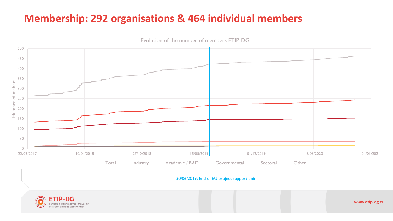### **Membership: 292 organisations & 464 individual members**



Evolution of the number of members ETIP-DG

30/06/2019: End of EU project support unit



www.etip-dg.eu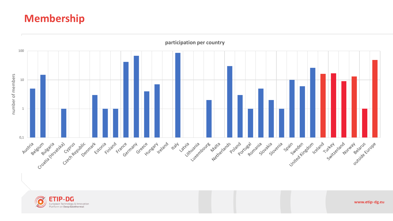#### **Membership**

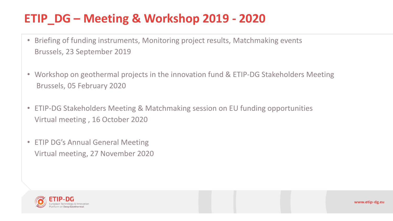## **ETIP\_DG – Meeting & Workshop 2019 - 2020**

- Briefing of funding instruments, Monitoring project results, Matchmaking events Brussels, 23 September 2019
- Workshop on geothermal projects in the innovation fund & ETIP-DG Stakeholders Meeting Brussels, 05 February 2020
- ETIP-DG Stakeholders Meeting & Matchmaking session on EU funding opportunities Virtual meeting , 16 October 2020
- ETIP DG's Annual General Meeting Virtual meeting, 27 November 2020

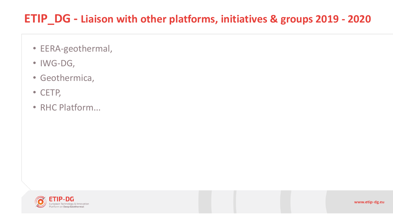## **ETIP\_DG - Liaison with other platforms, initiatives & groups 2019 - 2020**

- EERA-geothermal,
- IWG-DG,
- Geothermica,
- CETP,
- RHC Platform...

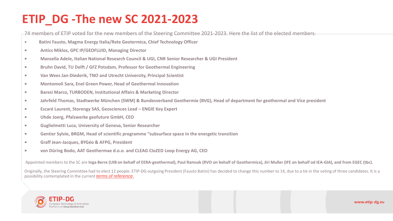## **ETIP\_DG -The new SC 2021-2023**

74 members of ETIP voted for the new members of the Steering Committee 2021-2023. Here the list of the elected members:

- **• Batini Fausto, Magma Energy Italia/Rete Geotermica, Chief Technology Officer**
- **• Antics Miklos, GPC IP/GEOFLUID, Managing Director**
- **• Manzella Adele, Italian National Research Council & UGI, CNR Senior Researcher & UGI President**
- **• Bruhn David, TU Delft / GFZ Potsdam, Professor for Geothermal Engineering**
- **• Van Wees Jan-Diederik, TNO and Utrecht University, Principal Scientist**
- **• Montomoli Sara, Enel Green Power, Head of Geothermal Innovation**
- **• Baresi Marco, TURBODEN, Institutional Affairs & Marketing Director**
- **• Jahrfeld Thomas, Stadtwerke München (SWM) & Bundesverband Geothermie (BVG), Head of department for geothermal and Vice president**
- **• Escaré Laurent, Storengy SAS, Geosciences Lead – ENGIE Key Expert**
- **• Uhde Joerg, Pfalzwerke geofuture GmbH, CEO**
- **• Guglielmetti Luca, University of Geneva, Senior Researcher**
- **• Gentier Sylvie, BRGM, Head of scientific programme "subsurface space in the energetic transition**
- **• Graff Jean-Jacques, BYGéo & AFPG, President**
- **• von Düring Bodo, AAT Geothermae d.o.o. and CLEAG CloZED Loop Energy AG, CEO**

Appointed members to the SC are **Inga Berre (UIB on behalf of EERA-geothermal), Paul Ramsak (RVO on behalf of Geothermica), Jiri Muller (IFE on behalf od IEA-GIA), and from EGEC (tbc).**

Originally, the Steering Committee had to elect 12 people. ETIP-DG outgoing President (Fausto Batini) has decided to change this number to 14, due to a tie in the voting of three candidates. It is a possibility contemplated in the current *[terms of reference.](https://egec.us14.list-manage.com/track/click?u=2fd69d710ec7587640bb2e2fe&id=bb40ec09ad&e=8da85a9804)*

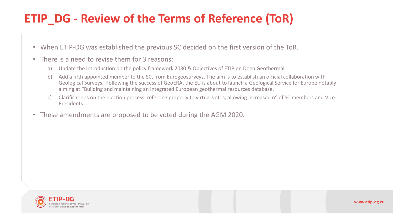## **ETIP\_DG - Review of the Terms of Reference (ToR)**

- When ETIP-DG was established the previous SC decided on the first version of the ToR.
- There is a need to revise them for 3 reasons:
	- a) Update the introduction on the policy framework 2030 & Objectives of ETIP on Deep Geothermal
	- b) Add a fifth appointed member to the SC, from Eurogeosurveys. The aim is to establish an official collaboration with Geological Surveys. Following the success of GeoERA, the EU is about to launch a Geological Service for Europe notably aiming at "Building and maintaining an integrated European geothermal resources database.
	- c) Clarifications on the election process: referring properly to virtual votes, allowing increased  $n^{\circ}$  of SC members and Vice-Presidents...
- These amendments are proposed to be voted during the AGM 2020.

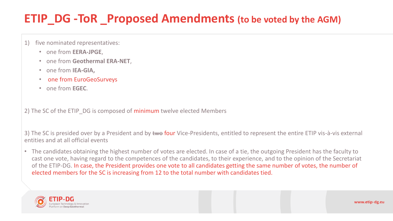## **ETIP\_DG -ToR \_Proposed Amendments (to be voted by the AGM)**

- 1) five nominated representatives:
	- one from **EERA-JPGE**,
	- one from **Geothermal ERA-NET**,
	- one from **IEA-GIA,**
	- one from EuroGeoSurveys
	- one from **EGEC**.

2) The SC of the ETIP DG is composed of minimum twelve elected Members

3) The SC is presided over by a President and by two four Vice-Presidents, entitled to represent the entire ETIP vis-à-vis external entities and at all official events

• The candidates obtaining the highest number of votes are elected. In case of a tie, the outgoing President has the faculty to cast one vote, having regard to the competences of the candidates, to their experience, and to the opinion of the Secretariat of the ETIP-DG. In case, the President provides one vote to all candidates getting the same number of votes, the number of elected members for the SC is increasing from 12 to the total number with candidates tied.

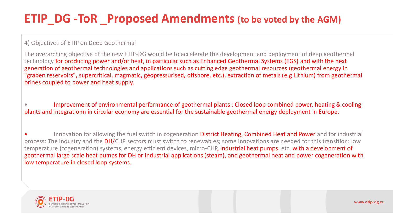## **ETIP\_DG -ToR \_Proposed Amendments (to be voted by the AGM)**

#### 4) Objectives of ETIP on Deep Geothermal

The overarching objective of the new ETIP-DG would be to accelerate the development and deployment of deep geothermal technology for producing power and/or heat, in particular such as Enhanced Geothermal Systems (EGS) and with the next generation of geothermal technologies and applications such as cutting edge geothermal resources (geothermal energy in "graben reservoirs", supercritical, magmatic, geopressurised, offshore, etc.), extraction of metals (e.g Lithium) from geothermal brines coupled to power and heat supply.

• Improvement of environmental performance of geothermal plants : Closed loop combined power, heating & cooling plants and integrationn in circular economy are essential for the sustainable geothermal energy deployment in Europe.

Innovation for allowing the fuel switch in cogeneration District Heating, Combined Heat and Power and for industrial process: The industry and the DH/CHP sectors must switch to renewables; some innovations are needed for this transition: low temperature (cogeneration) systems, energy efficient devices, micro-CHP, industrial heat pumps, etc. with a development of geothermal large scale heat pumps for DH or industrial applications (steam), and geothermal heat and power cogeneration with low temperature in closed loop systems.

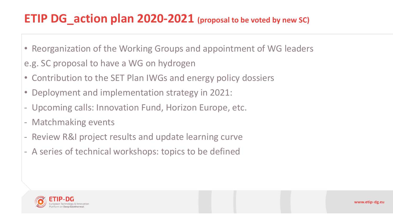## **ETIP DG\_action plan 2020-2021 (proposal to be voted by new SC)**

- Reorganization of the Working Groups and appointment of WG leaders
- e.g. SC proposal to have a WG on hydrogen
- Contribution to the SET Plan IWGs and energy policy dossiers
- Deployment and implementation strategy in 2021:
- Upcoming calls: Innovation Fund, Horizon Europe, etc.
- Matchmaking events
- Review R&I project results and update learning curve
- A series of technical workshops: topics to be defined

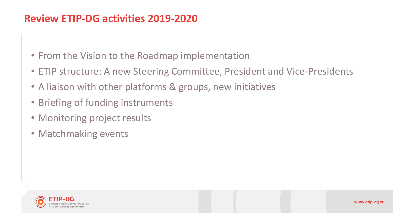### **Review ETIP-DG activities 2019-2020**

- From the Vision to the Roadmap implementation
- ETIP structure: A new Steering Committee, President and Vice-Presidents
- A liaison with other platforms & groups, new initiatives
- Briefing of funding instruments
- Monitoring project results
- Matchmaking events

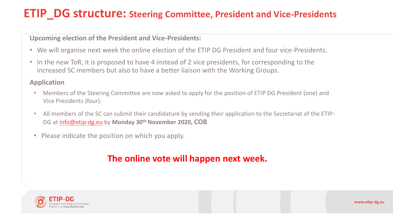## **ETIP\_DG structure: Steering Committee, President and Vice-Presidents**

#### **Upcoming election of the President and Vice-Presidents:**

- We will organise next week the online election of the ETIP DG President and four vice-Presidents.
- In the new ToR, it is proposed to have 4 instead of 2 vice presidents, for corresponding to the increased SC members but also to have a better liaison with the Working Groups.

#### **Application**

- Members of the Steering Committee are now asked to apply for the position of ETIP DG President (one) and Vice Presidents (four).
- All members of the SC can submit their candidature by sending their application to the Secretariat of the ETIP-DG at [info@etip-dg.eu](https://egec.us14.list-manage.com/track/click?u=2fd69d710ec7587640bb2e2fe&id=d1f78c3f57&e=8da85a9804) by **Monday 30th November 2020, COB**
- Please indicate the position on which you apply.

#### **The online vote will happen next week.**



www.etip-dg.eu